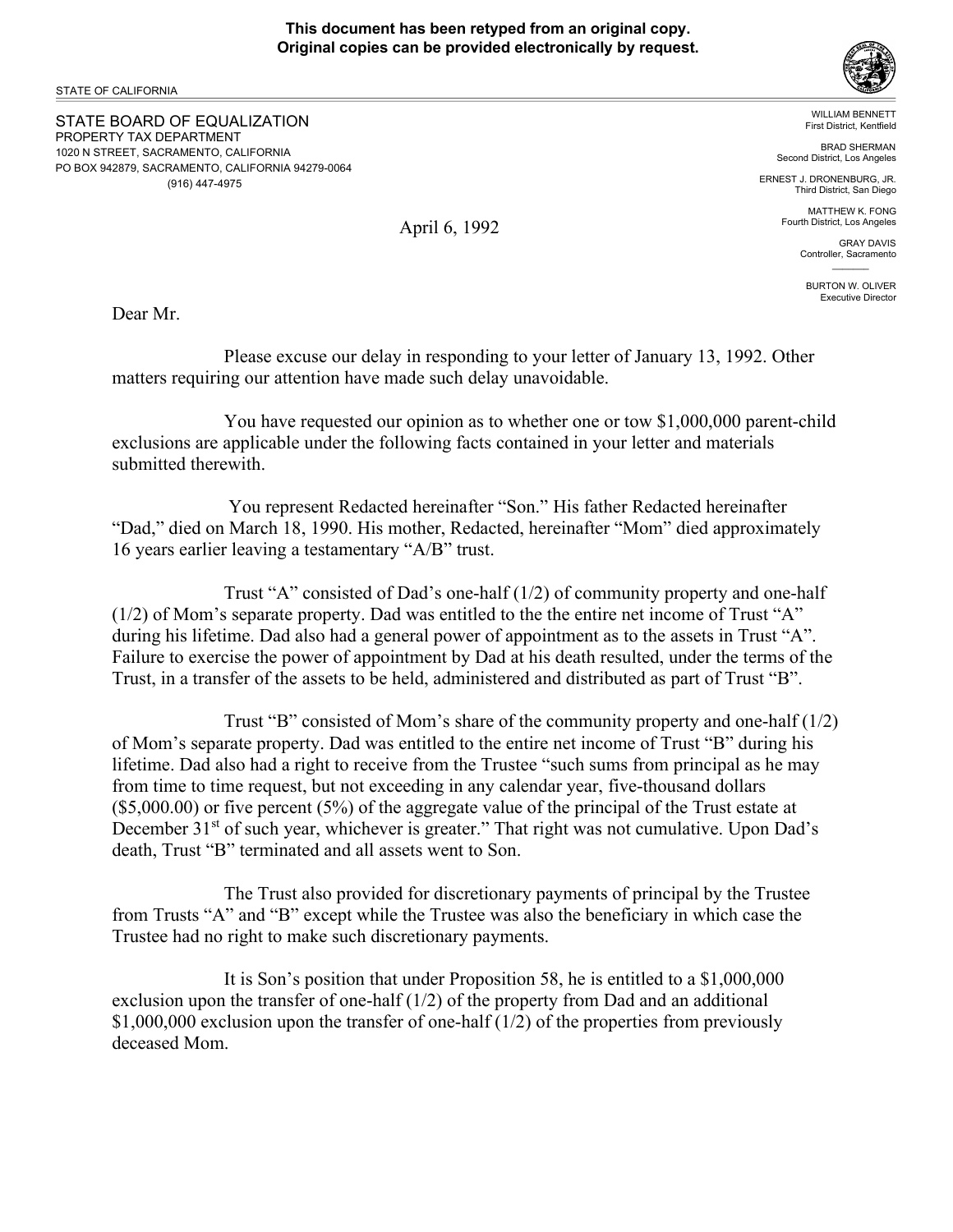STATE OF CALIFORNIA

STATE BOARD OF EQUALIZATION PROPERTY TAX DEPARTMENT 1020 N STREET, SACRAMENTO, CALIFORNIA PO BOX 942879, SACRAMENTO, CALIFORNIA 94279-0064 (916) 447-4975



WILLIAM BENNETT First District, Kentfield

 BRAD SHERMAN Second District, Los Angeles

ERNEST J. DRONENBURG, JR. Third District, San Diego

> MATTHEW K. FONG Fourth District, Los Angeles

> > GRAY DAVIS Controller, Sacramento  $\mathcal{L}=\mathcal{L}$

BURTON W. OLIVER Executive Director

Dear Mr.

Please excuse our delay in responding to your letter of January 13, 1992. Other matters requiring our attention have made such delay unavoidable.

You have requested our opinion as to whether one or tow \$1,000,000 parent-child exclusions are applicable under the following facts contained in your letter and materials submitted therewith.

 You represent Redacted hereinafter "Son." His father Redacted hereinafter "Dad," died on March 18, 1990. His mother, Redacted, hereinafter "Mom" died approximately 16 years earlier leaving a testamentary "A/B" trust.

Trust "A" consisted of Dad's one-half  $(1/2)$  of community property and one-half (1/2) of Mom's separate property. Dad was entitled to the the entire net income of Trust "A" during his lifetime. Dad also had a general power of appointment as to the assets in Trust "A". Failure to exercise the power of appointment by Dad at his death resulted, under the terms of the Trust, in a transfer of the assets to be held, administered and distributed as part of Trust "B".

Trust "B" consisted of Mom's share of the community property and one-half (1/2) of Mom's separate property. Dad was entitled to the entire net income of Trust "B" during his lifetime. Dad also had a right to receive from the Trustee "such sums from principal as he may from time to time request, but not exceeding in any calendar year, five-thousand dollars (\$5,000.00) or five percent (5%) of the aggregate value of the principal of the Trust estate at December 31<sup>st</sup> of such year, whichever is greater." That right was not cumulative. Upon Dad's death, Trust "B" terminated and all assets went to Son.

The Trust also provided for discretionary payments of principal by the Trustee from Trusts "A" and "B" except while the Trustee was also the beneficiary in which case the Trustee had no right to make such discretionary payments.

It is Son's position that under Proposition 58, he is entitled to a \$1,000,000 exclusion upon the transfer of one-half (1/2) of the property from Dad and an additional \$1,000,000 exclusion upon the transfer of one-half (1/2) of the properties from previously deceased Mom.

April 6, 1992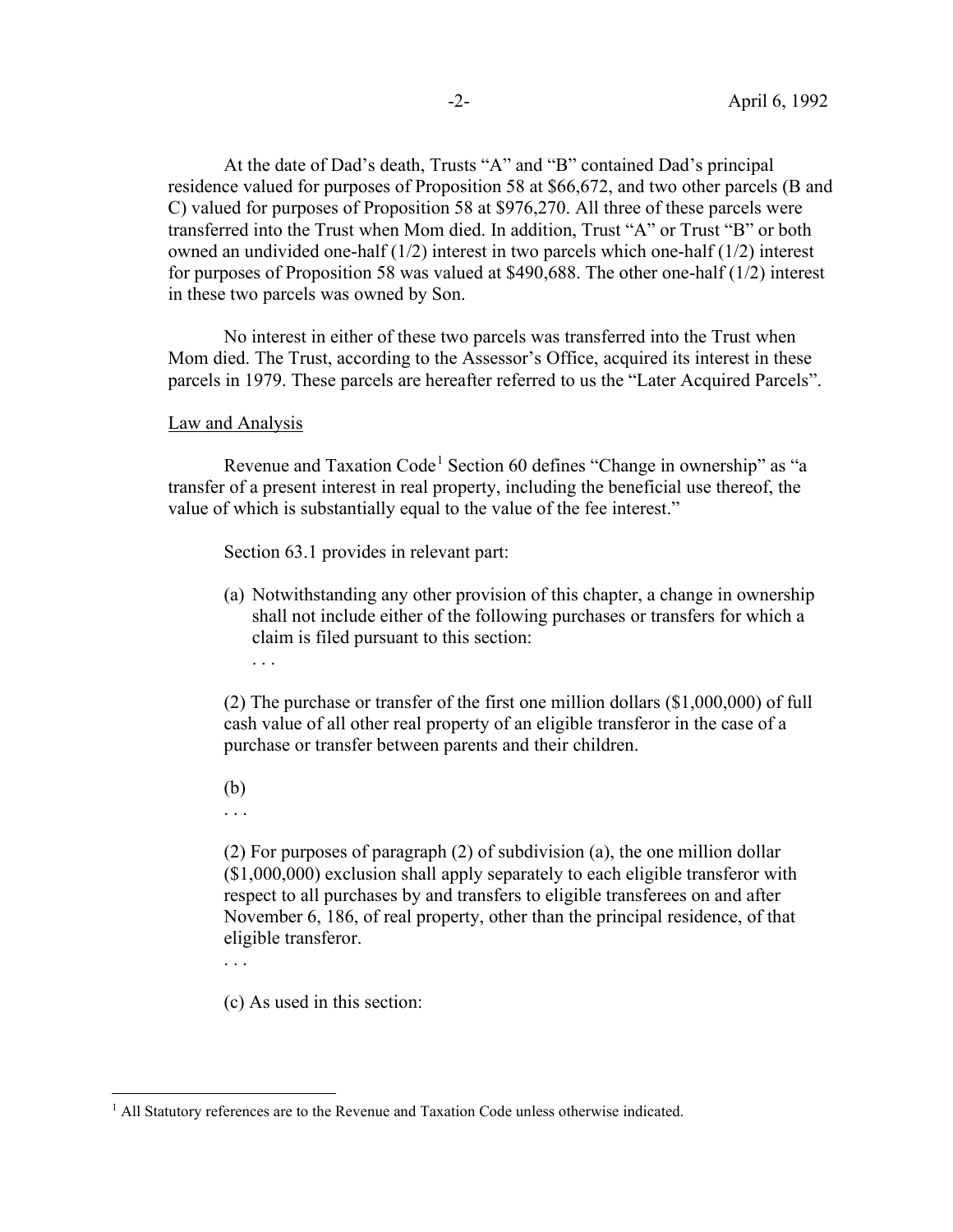At the date of Dad's death, Trusts "A" and "B" contained Dad's principal residence valued for purposes of Proposition 58 at \$66,672, and two other parcels (B and C) valued for purposes of Proposition 58 at \$976,270. All three of these parcels were transferred into the Trust when Mom died. In addition, Trust "A" or Trust "B" or both owned an undivided one-half  $(1/2)$  interest in two parcels which one-half  $(1/2)$  interest for purposes of Proposition 58 was valued at \$490,688. The other one-half (1/2) interest in these two parcels was owned by Son.

No interest in either of these two parcels was transferred into the Trust when Mom died. The Trust, according to the Assessor's Office, acquired its interest in these parcels in 1979. These parcels are hereafter referred to us the "Later Acquired Parcels".

Law and Analysis

Revenue and Taxation Code<sup>1</sup> Section 60 defines "Change in ownership" as "a transfer of a present interest in real property, including the beneficial use thereof, the value of which is substantially equal to the value of the fee interest."

Section 63.1 provides in relevant part:

(a) Notwithstanding any other provision of this chapter, a change in ownership shall not include either of the following purchases or transfers for which a claim is filed pursuant to this section:

(2) The purchase or transfer of the first one million dollars (\$1,000,000) of full cash value of all other real property of an eligible transferor in the case of a purchase or transfer between parents and their children.

(b)

. . .

. . .

(2) For purposes of paragraph (2) of subdivision (a), the one million dollar (\$1,000,000) exclusion shall apply separately to each eligible transferor with respect to all purchases by and transfers to eligible transferees on and after November 6, 186, of real property, other than the principal residence, of that eligible transferor.

. . .

(c) As used in this section:

<sup>&</sup>lt;sup>1</sup> All Statutory references are to the Revenue and Taxation Code unless otherwise indicated.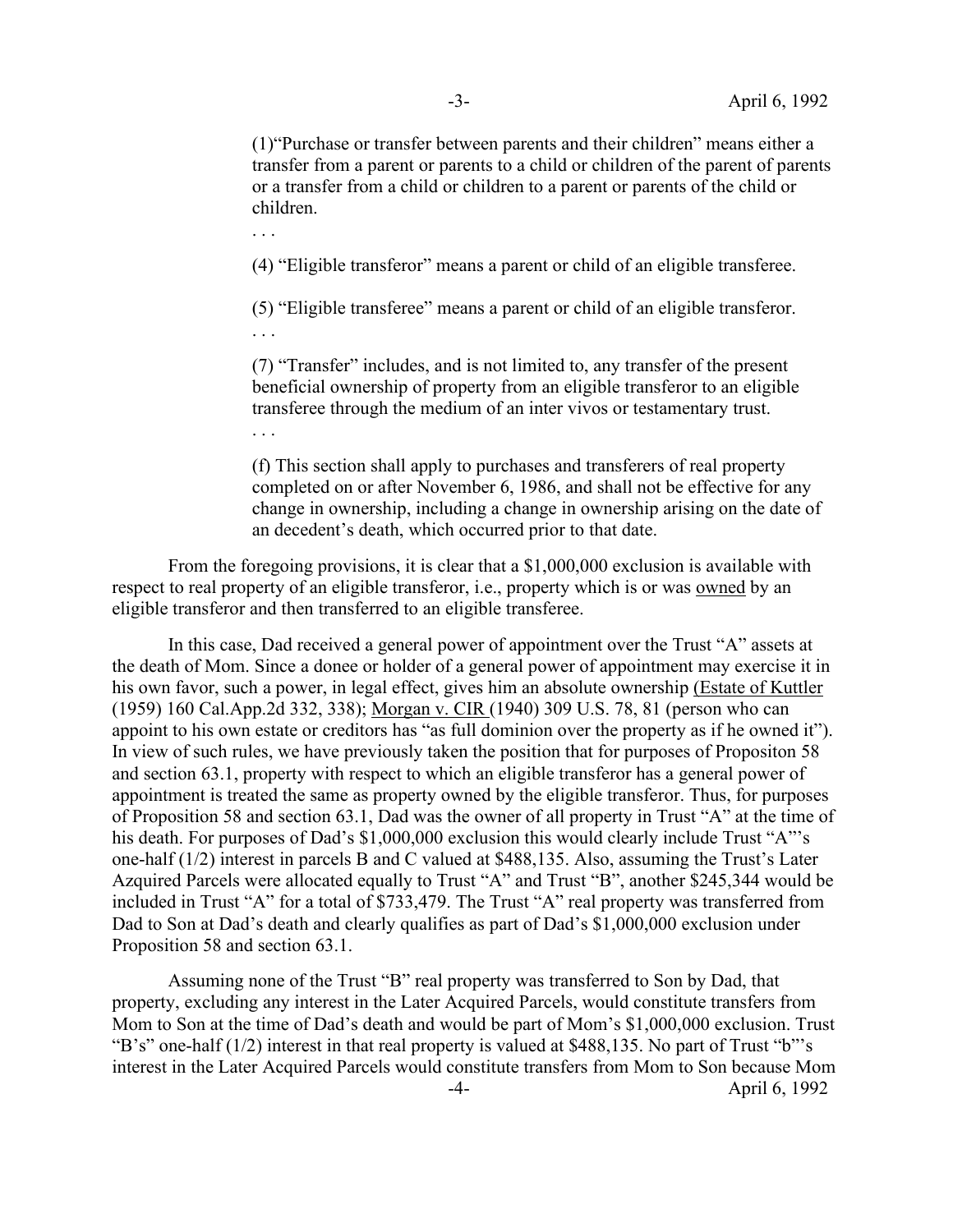(1)"Purchase or transfer between parents and their children" means either a transfer from a parent or parents to a child or children of the parent of parents or a transfer from a child or children to a parent or parents of the child or children.

. . .

. . .

(4) "Eligible transferor" means a parent or child of an eligible transferee.

(5) "Eligible transferee" means a parent or child of an eligible transferor. . . .

(7) "Transfer" includes, and is not limited to, any transfer of the present beneficial ownership of property from an eligible transferor to an eligible transferee through the medium of an inter vivos or testamentary trust.

(f) This section shall apply to purchases and transferers of real property completed on or after November 6, 1986, and shall not be effective for any change in ownership, including a change in ownership arising on the date of an decedent's death, which occurred prior to that date.

 From the foregoing provisions, it is clear that a \$1,000,000 exclusion is available with respect to real property of an eligible transferor, i.e., property which is or was owned by an eligible transferor and then transferred to an eligible transferee.

 In this case, Dad received a general power of appointment over the Trust "A" assets at the death of Mom. Since a donee or holder of a general power of appointment may exercise it in his own favor, such a power, in legal effect, gives him an absolute ownership (Estate of Kuttler (1959) 160 Cal.App.2d 332, 338); Morgan v. CIR (1940) 309 U.S. 78, 81 (person who can appoint to his own estate or creditors has "as full dominion over the property as if he owned it"). In view of such rules, we have previously taken the position that for purposes of Propositon 58 and section 63.1, property with respect to which an eligible transferor has a general power of appointment is treated the same as property owned by the eligible transferor. Thus, for purposes of Proposition 58 and section 63.1, Dad was the owner of all property in Trust "A" at the time of his death. For purposes of Dad's \$1,000,000 exclusion this would clearly include Trust "A"'s one-half (1/2) interest in parcels B and C valued at \$488,135. Also, assuming the Trust's Later Azquired Parcels were allocated equally to Trust "A" and Trust "B", another \$245,344 would be included in Trust "A" for a total of \$733,479. The Trust "A" real property was transferred from Dad to Son at Dad's death and clearly qualifies as part of Dad's \$1,000,000 exclusion under Proposition 58 and section 63.1.

 Assuming none of the Trust "B" real property was transferred to Son by Dad, that property, excluding any interest in the Later Acquired Parcels, would constitute transfers from Mom to Son at the time of Dad's death and would be part of Mom's \$1,000,000 exclusion. Trust "B's" one-half (1/2) interest in that real property is valued at \$488,135. No part of Trust "b"'s interest in the Later Acquired Parcels would constitute transfers from Mom to Son because Mom -4- April 6, 1992